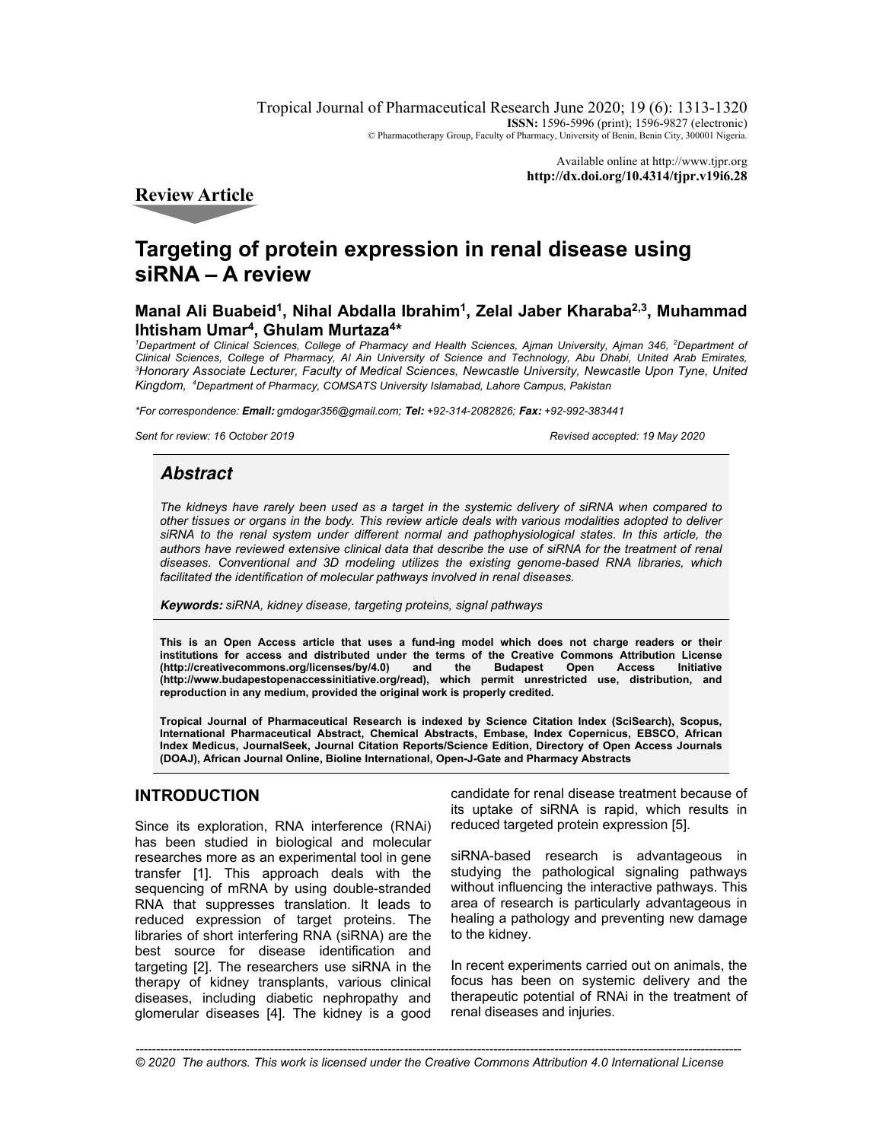Tropical Journal of Pharmaceutical Research June 2020; 19 (6): 1313-1320 **ISSN:** 1596-5996 (print); 1596-9827 (electronic) © Pharmacotherapy Group, Faculty of Pharmacy, University of Benin, Benin City, 300001 Nigeria.

> Available online at http://www.tjpr.org **http://dx.doi.org/10.4314/tjpr.v19i6.28**

**Review Article** 

# **Targeting of protein expression in renal disease using siRNA – A review**

# **Manal Ali Buabeid<sup>1</sup> , Nihal Abdalla Ibrahim<sup>1</sup> , Zelal Jaber Kharaba2,3, Muhammad Ihtisham Umar<sup>4</sup> , Ghulam Murtaza<sup>4</sup> \***

*<sup>1</sup>Department of Clinical Sciences, College of Pharmacy and Health Sciences, Ajman University, Ajman 346, <sup>2</sup>Department of Clinical Sciences, College of Pharmacy, Al Ain University of Science and Technology, Abu Dhabi, United Arab Emirates, <sup>3</sup>Honorary Associate Lecturer, Faculty of Medical Sciences, Newcastle University, Newcastle Upon Tyne, United Kingdom, <sup>4</sup>Department of Pharmacy, COMSATS University Islamabad, Lahore Campus, Pakistan* 

*\*For correspondence:* **Email:** *gmdogar356@gmail.com;* **Tel:** *+92-314-2082826;* **Fax:** *+92-992-383441*

*Sent for review: 16 October 2019 Revised accepted: 19 May 2020*

# **Abstract**

*The kidneys have rarely been used as a target in the systemic delivery of siRNA when compared to other tissues or organs in the body. This review article deals with various modalities adopted to deliver siRNA to the renal system under different normal and pathophysiological states. In this article, the authors have reviewed extensive clinical data that describe the use of siRNA for the treatment of renal diseases. Conventional and 3D modeling utilizes the existing genome-based RNA libraries, which facilitated the identification of molecular pathways involved in renal diseases.* 

**Keywords:** *siRNA, kidney disease, targeting proteins, signal pathways* 

**This is an Open Access article that uses a fund-ing model which does not charge readers or their institutions for access and distributed under the terms of the Creative Commons Attribution License**  (http://creativecommons.org/licenses/by/4.0) and the Budapest Open Access **(http://www.budapestopenaccessinitiative.org/read), which permit unrestricted use, distribution, and reproduction in any medium, provided the original work is properly credited.** 

**Tropical Journal of Pharmaceutical Research is indexed by Science Citation Index (SciSearch), Scopus, International Pharmaceutical Abstract, Chemical Abstracts, Embase, Index Copernicus, EBSCO, African Index Medicus, JournalSeek, Journal Citation Reports/Science Edition, Directory of Open Access Journals (DOAJ), African Journal Online, Bioline International, Open-J-Gate and Pharmacy Abstracts** 

# **INTRODUCTION**

Since its exploration, RNA interference (RNAi) has been studied in biological and molecular researches more as an experimental tool in gene transfer [1]. This approach deals with the sequencing of mRNA by using double-stranded RNA that suppresses translation. It leads to reduced expression of target proteins. The libraries of short interfering RNA (siRNA) are the best source for disease identification and targeting [2]. The researchers use siRNA in the therapy of kidney transplants, various clinical diseases, including diabetic nephropathy and glomerular diseases [4]. The kidney is a good candidate for renal disease treatment because of its uptake of siRNA is rapid, which results in reduced targeted protein expression [5].

siRNA-based research is advantageous in studying the pathological signaling pathways without influencing the interactive pathways. This area of research is particularly advantageous in healing a pathology and preventing new damage to the kidney.

In recent experiments carried out on animals, the focus has been on systemic delivery and the therapeutic potential of RNAi in the treatment of renal diseases and injuries.

*Trop J Pharm Res, June 2020; 19(6):* 1313 *© 2020 The authors. This work is licensed under the Creative Commons Attribution 4.0 International License-----------------------------------------------------------------------------------------------------------------------------------------------------*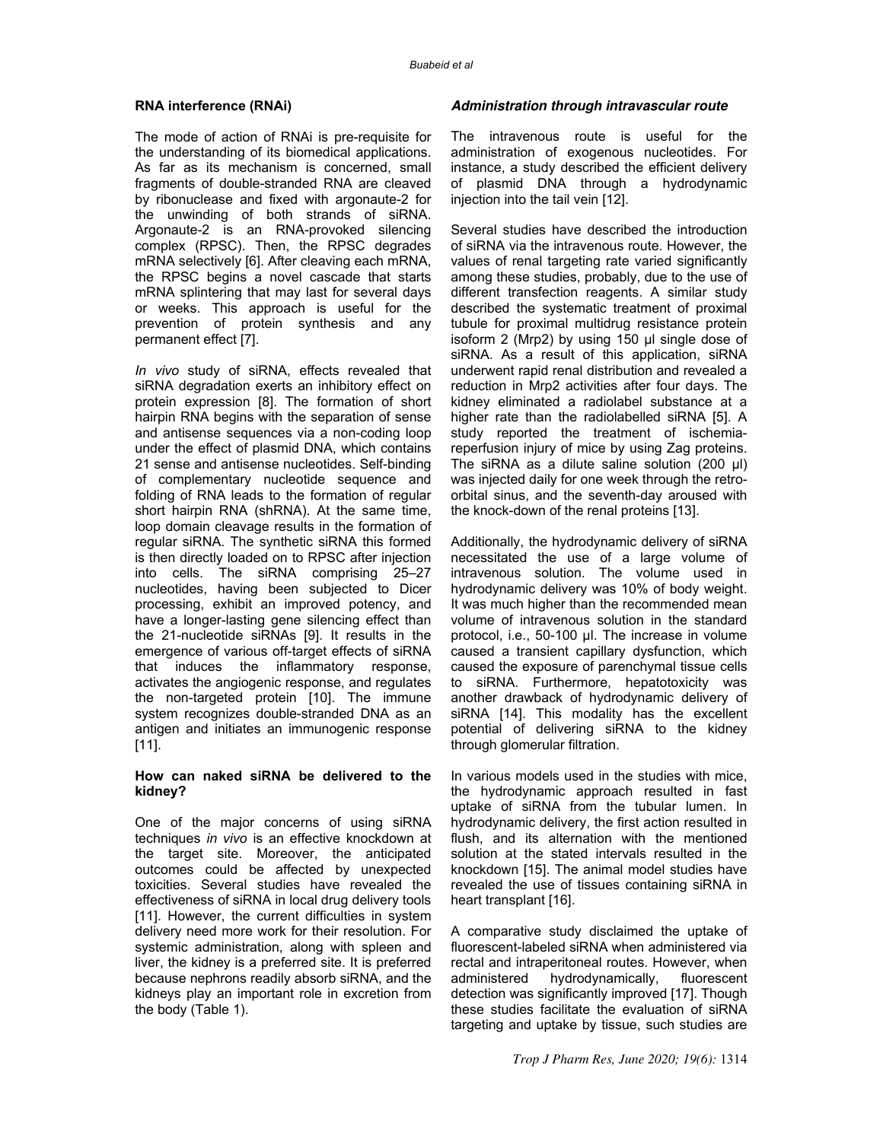#### **RNA interference (RNAi)**

The mode of action of RNAi is pre-requisite for the understanding of its biomedical applications. As far as its mechanism is concerned, small fragments of double-stranded RNA are cleaved by ribonuclease and fixed with argonaute-2 for the unwinding of both strands of siRNA. Argonaute-2 is an RNA-provoked silencing complex (RPSC). Then, the RPSC degrades mRNA selectively [6]. After cleaving each mRNA, the RPSC begins a novel cascade that starts mRNA splintering that may last for several days or weeks. This approach is useful for the prevention of protein synthesis and any permanent effect [7].

*In vivo* study of siRNA, effects revealed that siRNA degradation exerts an inhibitory effect on protein expression [8]. The formation of short hairpin RNA begins with the separation of sense and antisense sequences via a non-coding loop under the effect of plasmid DNA, which contains 21 sense and antisense nucleotides. Self-binding of complementary nucleotide sequence and folding of RNA leads to the formation of regular short hairpin RNA (shRNA). At the same time, loop domain cleavage results in the formation of regular siRNA. The synthetic siRNA this formed is then directly loaded on to RPSC after injection into cells. The siRNA comprising 25–27 nucleotides, having been subjected to Dicer processing, exhibit an improved potency, and have a longer-lasting gene silencing effect than the 21-nucleotide siRNAs [9]. It results in the emergence of various off-target effects of siRNA that induces the inflammatory response, activates the angiogenic response, and regulates the non-targeted protein [10]. The immune system recognizes double-stranded DNA as an antigen and initiates an immunogenic response [11].

#### **How can naked siRNA be delivered to the kidney?**

One of the major concerns of using siRNA techniques *in vivo* is an effective knockdown at the target site. Moreover, the anticipated outcomes could be affected by unexpected toxicities. Several studies have revealed the effectiveness of siRNA in local drug delivery tools [11]. However, the current difficulties in system delivery need more work for their resolution. For systemic administration, along with spleen and liver, the kidney is a preferred site. It is preferred because nephrons readily absorb siRNA, and the kidneys play an important role in excretion from the body (Table 1).

#### **Administration through intravascular route**

The intravenous route is useful for the administration of exogenous nucleotides. For instance, a study described the efficient delivery of plasmid DNA through a hydrodynamic injection into the tail vein [12].

Several studies have described the introduction of siRNA via the intravenous route. However, the values of renal targeting rate varied significantly among these studies, probably, due to the use of different transfection reagents. A similar study described the systematic treatment of proximal tubule for proximal multidrug resistance protein isoform 2 (Mrp2) by using 150 µl single dose of siRNA. As a result of this application, siRNA underwent rapid renal distribution and revealed a reduction in Mrp2 activities after four days. The kidney eliminated a radiolabel substance at a higher rate than the radiolabelled siRNA [5]. A study reported the treatment of ischemiareperfusion injury of mice by using Zag proteins. The siRNA as a dilute saline solution (200 µl) was injected daily for one week through the retroorbital sinus, and the seventh-day aroused with the knock-down of the renal proteins [13].

Additionally, the hydrodynamic delivery of siRNA necessitated the use of a large volume of intravenous solution. The volume used in hydrodynamic delivery was 10% of body weight. It was much higher than the recommended mean volume of intravenous solution in the standard protocol, i.e., 50-100 µl. The increase in volume caused a transient capillary dysfunction, which caused the exposure of parenchymal tissue cells to siRNA. Furthermore, hepatotoxicity was another drawback of hydrodynamic delivery of siRNA [14]. This modality has the excellent potential of delivering siRNA to the kidney through glomerular filtration.

In various models used in the studies with mice, the hydrodynamic approach resulted in fast uptake of siRNA from the tubular lumen. In hydrodynamic delivery, the first action resulted in flush, and its alternation with the mentioned solution at the stated intervals resulted in the knockdown [15]. The animal model studies have revealed the use of tissues containing siRNA in heart transplant [16].

A comparative study disclaimed the uptake of fluorescent-labeled siRNA when administered via rectal and intraperitoneal routes. However, when administered hydrodynamically, fluorescent detection was significantly improved [17]. Though these studies facilitate the evaluation of siRNA targeting and uptake by tissue, such studies are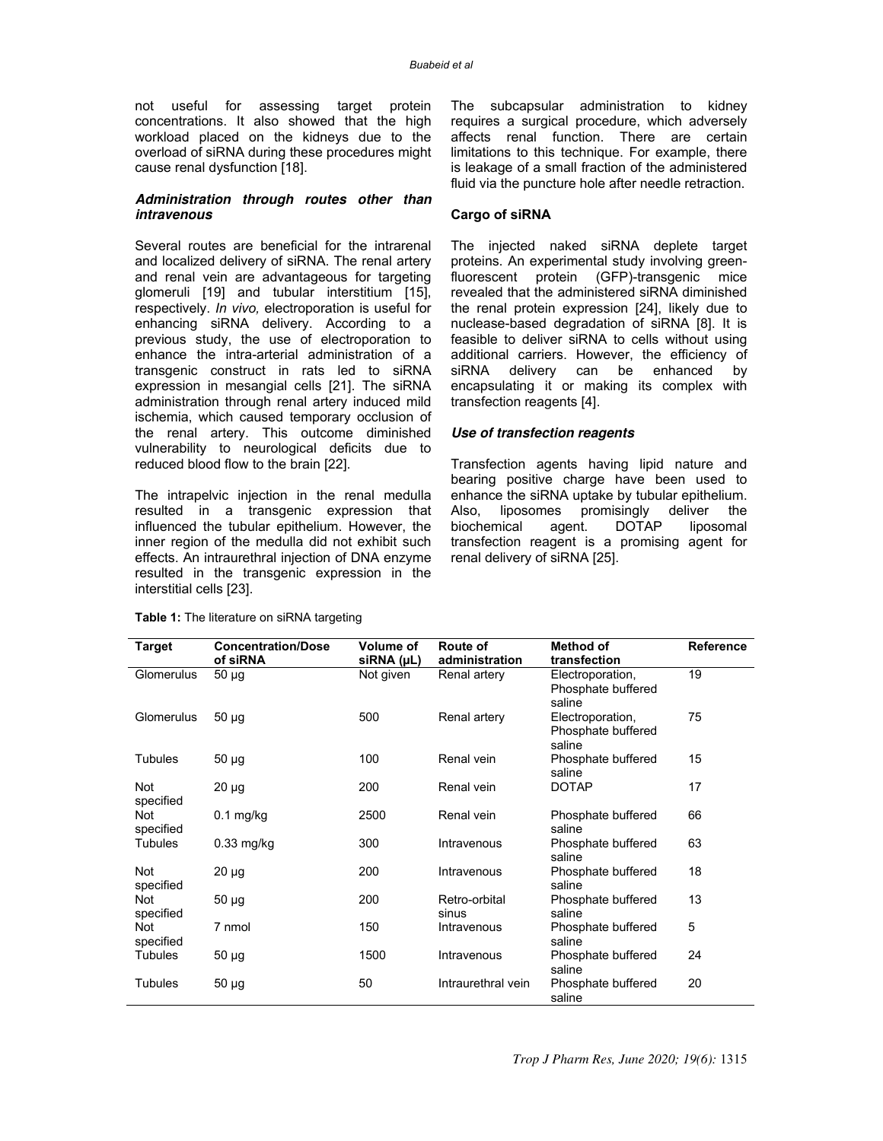not useful for assessing target protein concentrations. It also showed that the high workload placed on the kidneys due to the overload of siRNA during these procedures might cause renal dysfunction [18].

### **Administration through routes other than intravenous**

Several routes are beneficial for the intrarenal and localized delivery of siRNA. The renal artery and renal vein are advantageous for targeting glomeruli [19] and tubular interstitium [15], respectively. *In vivo,* electroporation is useful for enhancing siRNA delivery. According to a previous study, the use of electroporation to enhance the intra-arterial administration of a transgenic construct in rats led to siRNA expression in mesangial cells [21]. The siRNA administration through renal artery induced mild ischemia, which caused temporary occlusion of the renal artery. This outcome diminished vulnerability to neurological deficits due to reduced blood flow to the brain [22].

The intrapelvic injection in the renal medulla resulted in a transgenic expression that influenced the tubular epithelium. However, the inner region of the medulla did not exhibit such effects. An intraurethral injection of DNA enzyme resulted in the transgenic expression in the interstitial cells [23].

The subcapsular administration to kidney requires a surgical procedure, which adversely affects renal function. There are certain limitations to this technique. For example, there is leakage of a small fraction of the administered fluid via the puncture hole after needle retraction.

### **Cargo of siRNA**

The injected naked siRNA deplete target proteins. An experimental study involving greenfluorescent protein (GFP)-transgenic mice revealed that the administered siRNA diminished the renal protein expression [24], likely due to nuclease-based degradation of siRNA [8]. It is feasible to deliver siRNA to cells without using additional carriers. However, the efficiency of siRNA delivery can be enhanced by encapsulating it or making its complex with transfection reagents [4].

#### **Use of transfection reagents**

Transfection agents having lipid nature and bearing positive charge have been used to enhance the siRNA uptake by tubular epithelium. Also, liposomes promisingly deliver the<br>biochemical agent. DOTAP liposomal biochemical agent. DOTAP liposomal transfection reagent is a promising agent for renal delivery of siRNA [25].

| <b>Target</b>    | <b>Concentration/Dose</b><br>of siRNA | Volume of<br>siRNA (µL) | Route of<br>administration | Method of<br>transfection                        | <b>Reference</b> |
|------------------|---------------------------------------|-------------------------|----------------------------|--------------------------------------------------|------------------|
| Glomerulus       | $50 \mu g$                            | Not given               | Renal artery               | Electroporation,<br>Phosphate buffered<br>saline | 19               |
| Glomerulus       | $50 \mu$ g                            | 500                     | Renal artery               | Electroporation,<br>Phosphate buffered<br>saline | 75               |
| <b>Tubules</b>   | $50 \mu g$                            | 100                     | Renal vein                 | Phosphate buffered<br>saline                     | 15               |
| Not<br>specified | $20 \mu g$                            | 200                     | Renal vein                 | <b>DOTAP</b>                                     | 17               |
| Not<br>specified | $0.1$ mg/kg                           | 2500                    | Renal vein                 | Phosphate buffered<br>saline                     | 66               |
| <b>Tubules</b>   | $0.33$ mg/kg                          | 300                     | Intravenous                | Phosphate buffered<br>saline                     | 63               |
| Not<br>specified | $20 \mu g$                            | 200                     | Intravenous                | Phosphate buffered<br>saline                     | 18               |
| Not<br>specified | $50 \mu g$                            | 200                     | Retro-orbital<br>sinus     | Phosphate buffered<br>saline                     | 13               |
| Not<br>specified | 7 nmol                                | 150                     | Intravenous                | Phosphate buffered<br>saline                     | 5                |
| <b>Tubules</b>   | $50 \mu g$                            | 1500                    | Intravenous                | Phosphate buffered<br>saline                     | 24               |
| Tubules          | $50 \mu g$                            | 50                      | Intraurethral vein         | Phosphate buffered<br>saline                     | 20               |

**Table 1:** The literature on siRNA targeting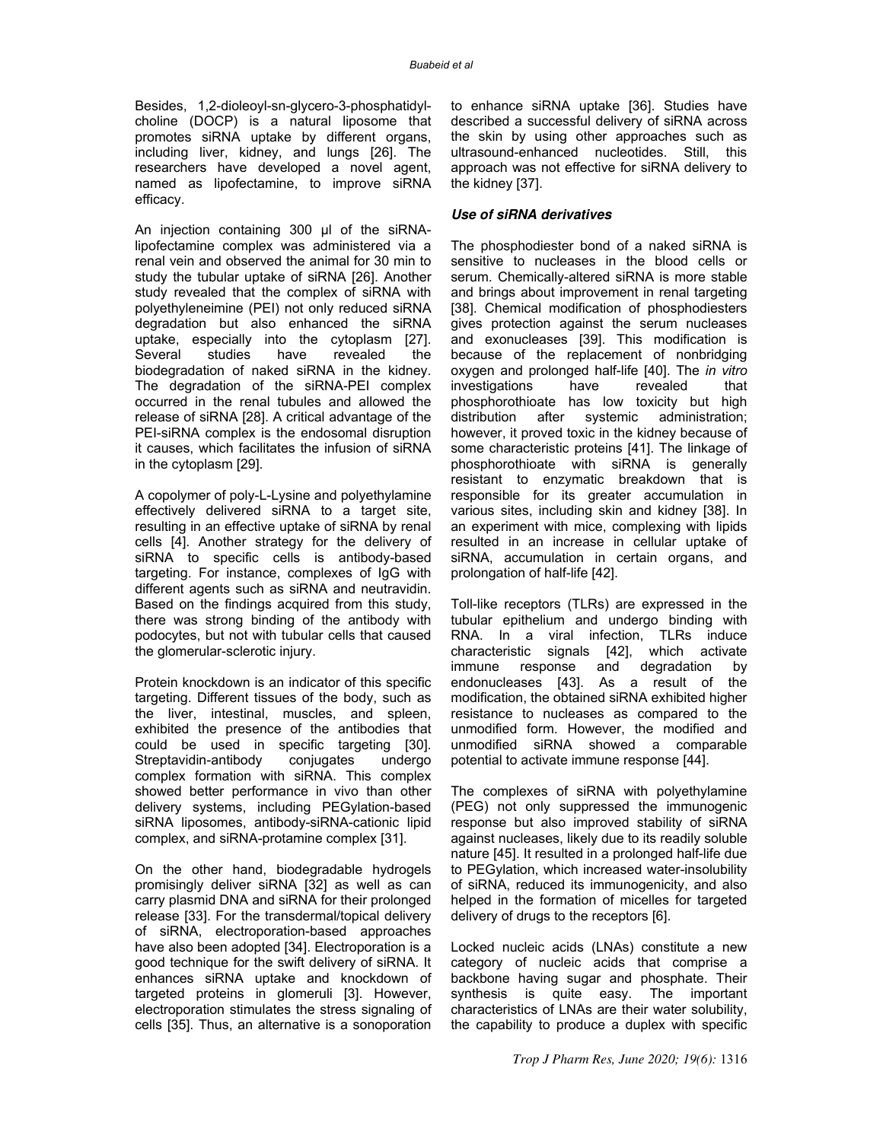Besides, 1,2-dioleoyl-sn-glycero-3-phosphatidylcholine (DOCP) is a natural liposome that promotes siRNA uptake by different organs, including liver, kidney, and lungs [26]. The researchers have developed a novel agent, named as lipofectamine, to improve siRNA efficacy.

An injection containing 300 µl of the siRNAlipofectamine complex was administered via a renal vein and observed the animal for 30 min to study the tubular uptake of siRNA [26]. Another study revealed that the complex of siRNA with polyethyleneimine (PEI) not only reduced siRNA degradation but also enhanced the siRNA uptake, especially into the cytoplasm [27]. have revealed the biodegradation of naked siRNA in the kidney. The degradation of the siRNA-PEI complex occurred in the renal tubules and allowed the release of siRNA [28]. A critical advantage of the PEI-siRNA complex is the endosomal disruption it causes, which facilitates the infusion of siRNA in the cytoplasm [29].

A copolymer of poly-L-Lysine and polyethylamine effectively delivered siRNA to a target site, resulting in an effective uptake of siRNA by renal cells [4]. Another strategy for the delivery of siRNA to specific cells is antibody-based targeting. For instance, complexes of IgG with different agents such as siRNA and neutravidin. Based on the findings acquired from this study, there was strong binding of the antibody with podocytes, but not with tubular cells that caused the glomerular-sclerotic injury.

Protein knockdown is an indicator of this specific targeting. Different tissues of the body, such as the liver, intestinal, muscles, and spleen, exhibited the presence of the antibodies that could be used in specific targeting [30]. Streptavidin-antibody conjugates undergo complex formation with siRNA. This complex showed better performance in vivo than other delivery systems, including PEGylation-based siRNA liposomes, antibody-siRNA-cationic lipid complex, and siRNA-protamine complex [31].

On the other hand, biodegradable hydrogels promisingly deliver siRNA [32] as well as can carry plasmid DNA and siRNA for their prolonged release [33]. For the transdermal/topical delivery of siRNA, electroporation-based approaches have also been adopted [34]. Electroporation is a good technique for the swift delivery of siRNA. It enhances siRNA uptake and knockdown of targeted proteins in glomeruli [3]. However, electroporation stimulates the stress signaling of cells [35]. Thus, an alternative is a sonoporation to enhance siRNA uptake [36]. Studies have described a successful delivery of siRNA across the skin by using other approaches such as ultrasound-enhanced nucleotides. Still, this approach was not effective for siRNA delivery to the kidney [37].

### **Use of siRNA derivatives**

The phosphodiester bond of a naked siRNA is sensitive to nucleases in the blood cells or serum. Chemically-altered siRNA is more stable and brings about improvement in renal targeting [38]. Chemical modification of phosphodiesters gives protection against the serum nucleases and exonucleases [39]. This modification is because of the replacement of nonbridging oxygen and prolonged half-life [40]. The *in vitro* investigations have revealed that phosphorothioate has low toxicity but high distribution after systemic administration; however, it proved toxic in the kidney because of some characteristic proteins [41]. The linkage of phosphorothioate with siRNA is generally resistant to enzymatic breakdown that is responsible for its greater accumulation in various sites, including skin and kidney [38]. In an experiment with mice, complexing with lipids resulted in an increase in cellular uptake of siRNA, accumulation in certain organs, and prolongation of half-life [42].

Toll-like receptors (TLRs) are expressed in the tubular epithelium and undergo binding with RNA. In a viral infection, TLRs induce characteristic signals [42], which activate immune response and degradation by endonucleases [43]. As a result of the modification, the obtained siRNA exhibited higher resistance to nucleases as compared to the unmodified form. However, the modified and unmodified siRNA showed a comparable potential to activate immune response [44].

The complexes of siRNA with polyethylamine (PEG) not only suppressed the immunogenic response but also improved stability of siRNA against nucleases, likely due to its readily soluble nature [45]. It resulted in a prolonged half-life due to PEGylation, which increased water-insolubility of siRNA, reduced its immunogenicity, and also helped in the formation of micelles for targeted delivery of drugs to the receptors [6].

Locked nucleic acids (LNAs) constitute a new category of nucleic acids that comprise a backbone having sugar and phosphate. Their synthesis is quite easy. The important characteristics of LNAs are their water solubility, the capability to produce a duplex with specific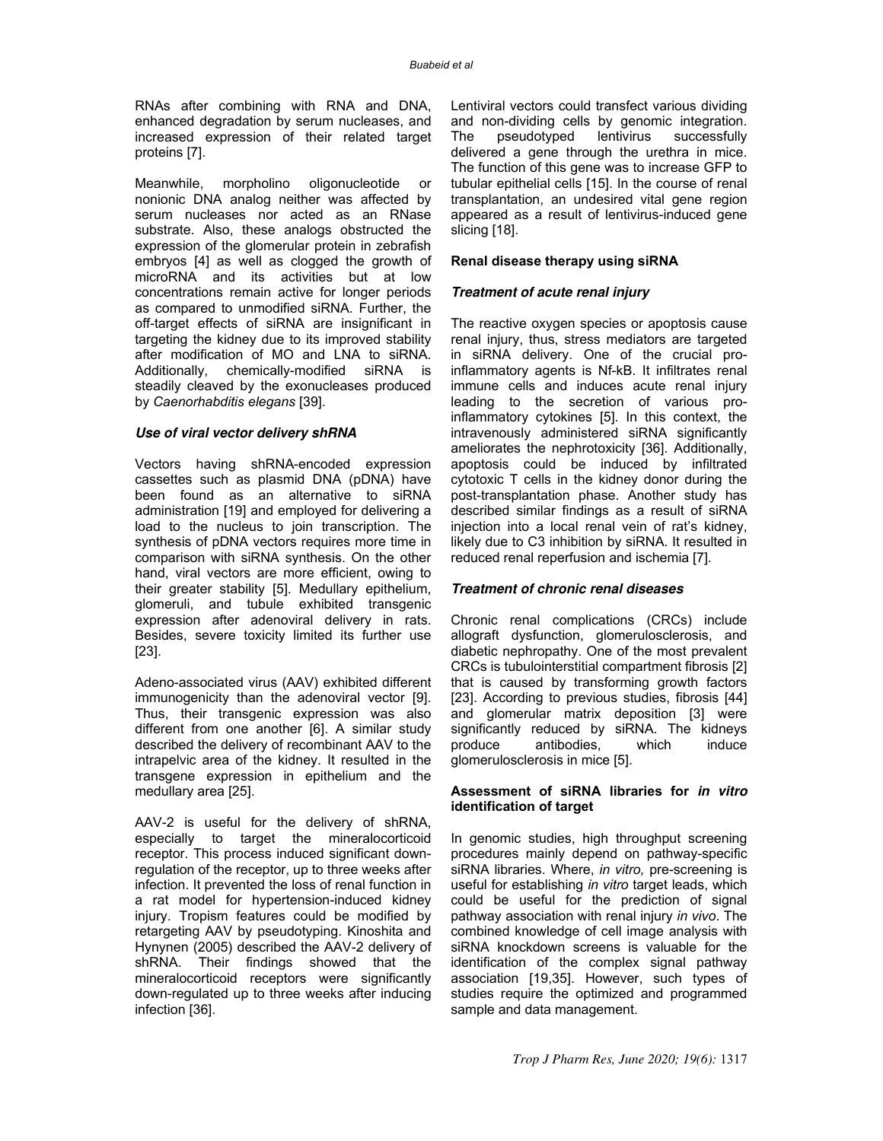RNAs after combining with RNA and DNA, enhanced degradation by serum nucleases, and increased expression of their related target proteins [7].

Meanwhile, morpholino oligonucleotide or nonionic DNA analog neither was affected by serum nucleases nor acted as an RNase substrate. Also, these analogs obstructed the expression of the glomerular protein in zebrafish embryos [4] as well as clogged the growth of microRNA and its activities but at low concentrations remain active for longer periods as compared to unmodified siRNA. Further, the off-target effects of siRNA are insignificant in targeting the kidney due to its improved stability after modification of MO and LNA to siRNA. Additionally, chemically-modified siRNA is steadily cleaved by the exonucleases produced by *Caenorhabditis elegans* [39].

#### **Use of viral vector delivery shRNA**

Vectors having shRNA-encoded expression cassettes such as plasmid DNA (pDNA) have been found as an alternative to siRNA administration [19] and employed for delivering a load to the nucleus to join transcription. The synthesis of pDNA vectors requires more time in comparison with siRNA synthesis. On the other hand, viral vectors are more efficient, owing to their greater stability [5]. Medullary epithelium, glomeruli, and tubule exhibited transgenic expression after adenoviral delivery in rats. Besides, severe toxicity limited its further use [23].

Adeno-associated virus (AAV) exhibited different immunogenicity than the adenoviral vector [9]. Thus, their transgenic expression was also different from one another [6]. A similar study described the delivery of recombinant AAV to the intrapelvic area of the kidney. It resulted in the transgene expression in epithelium and the medullary area [25].

AAV-2 is useful for the delivery of shRNA, especially to target the mineralocorticoid receptor. This process induced significant downregulation of the receptor, up to three weeks after infection. It prevented the loss of renal function in a rat model for hypertension-induced kidney injury. Tropism features could be modified by retargeting AAV by pseudotyping. Kinoshita and Hynynen (2005) described the AAV-2 delivery of shRNA. Their findings showed that the mineralocorticoid receptors were significantly down-regulated up to three weeks after inducing infection [36].

Lentiviral vectors could transfect various dividing and non-dividing cells by genomic integration. The pseudotyped lentivirus successfully delivered a gene through the urethra in mice. The function of this gene was to increase GFP to tubular epithelial cells [15]. In the course of renal transplantation, an undesired vital gene region appeared as a result of lentivirus-induced gene slicing [18].

#### **Renal disease therapy using siRNA**

#### **Treatment of acute renal injury**

The reactive oxygen species or apoptosis cause renal injury, thus, stress mediators are targeted in siRNA delivery. One of the crucial proinflammatory agents is Nf-kB. It infiltrates renal immune cells and induces acute renal injury leading to the secretion of various proinflammatory cytokines [5]. In this context, the intravenously administered siRNA significantly ameliorates the nephrotoxicity [36]. Additionally, apoptosis could be induced by infiltrated cytotoxic T cells in the kidney donor during the post-transplantation phase. Another study has described similar findings as a result of siRNA injection into a local renal vein of rat's kidney, likely due to C3 inhibition by siRNA. It resulted in reduced renal reperfusion and ischemia [7].

#### **Treatment of chronic renal diseases**

Chronic renal complications (CRCs) include allograft dysfunction, glomerulosclerosis, and diabetic nephropathy. One of the most prevalent CRCs is tubulointerstitial compartment fibrosis [2] that is caused by transforming growth factors [23]. According to previous studies, fibrosis [44] and glomerular matrix deposition [3] were significantly reduced by siRNA. The kidneys<br>produce antibodies, which induce produce antibodies, glomerulosclerosis in mice [5].

#### **Assessment of siRNA libraries for in vitro identification of target**

In genomic studies, high throughput screening procedures mainly depend on pathway-specific siRNA libraries. Where, *in vitro,* pre-screening is useful for establishing *in vitro* target leads, which could be useful for the prediction of signal pathway association with renal injury *in vivo*. The combined knowledge of cell image analysis with siRNA knockdown screens is valuable for the identification of the complex signal pathway association [19,35]. However, such types of studies require the optimized and programmed sample and data management.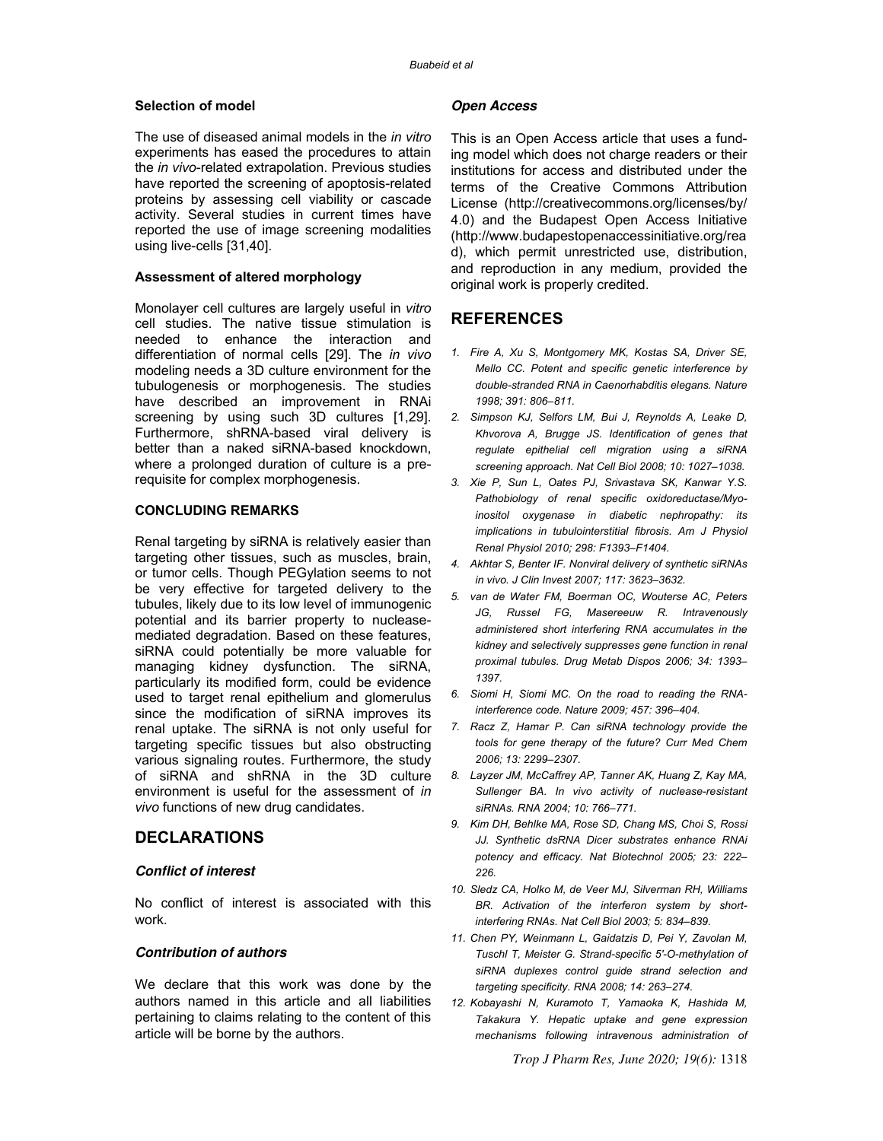#### **Selection of model**

The use of diseased animal models in the *in vitro* experiments has eased the procedures to attain the *in vivo*-related extrapolation. Previous studies have reported the screening of apoptosis-related proteins by assessing cell viability or cascade activity. Several studies in current times have reported the use of image screening modalities using live-cells [31,40].

#### **Assessment of altered morphology**

Monolayer cell cultures are largely useful in *vitro* cell studies. The native tissue stimulation is needed to enhance the interaction and differentiation of normal cells [29]. The *in vivo* modeling needs a 3D culture environment for the tubulogenesis or morphogenesis. The studies have described an improvement in RNAi screening by using such 3D cultures [1,29]. Furthermore, shRNA-based viral delivery is better than a naked siRNA-based knockdown, where a prolonged duration of culture is a prerequisite for complex morphogenesis.

## **CONCLUDING REMARKS**

Renal targeting by siRNA is relatively easier than targeting other tissues, such as muscles, brain, or tumor cells. Though PEGylation seems to not be very effective for targeted delivery to the tubules, likely due to its low level of immunogenic potential and its barrier property to nucleasemediated degradation. Based on these features, siRNA could potentially be more valuable for managing kidney dysfunction. The siRNA, particularly its modified form, could be evidence used to target renal epithelium and glomerulus since the modification of siRNA improves its renal uptake. The siRNA is not only useful for targeting specific tissues but also obstructing various signaling routes. Furthermore, the study of siRNA and shRNA in the 3D culture environment is useful for the assessment of *in vivo* functions of new drug candidates.

# **DECLARATIONS**

#### **Conflict of interest**

No conflict of interest is associated with this work.

### **Contribution of authors**

We declare that this work was done by the authors named in this article and all liabilities pertaining to claims relating to the content of this article will be borne by the authors.

#### **Open Access**

This is an Open Access article that uses a funding model which does not charge readers or their institutions for access and distributed under the terms of the Creative Commons Attribution License (http://creativecommons.org/licenses/by/ 4.0) and the Budapest Open Access Initiative (http://www.budapestopenaccessinitiative.org/rea d), which permit unrestricted use, distribution, and reproduction in any medium, provided the original work is properly credited.

# **REFERENCES**

- *1. Fire A, Xu S, Montgomery MK, Kostas SA, Driver SE, Mello CC. Potent and specific genetic interference by double-stranded RNA in Caenorhabditis elegans. Nature 1998; 391: 806–811.*
- *2. Simpson KJ, Selfors LM, Bui J, Reynolds A, Leake D, Khvorova A, Brugge JS. Identification of genes that regulate epithelial cell migration using a siRNA screening approach. Nat Cell Biol 2008; 10: 1027–1038.*
- *3. Xie P, Sun L, Oates PJ, Srivastava SK, Kanwar Y.S. Pathobiology of renal specific oxidoreductase/Myoinositol oxygenase in diabetic nephropathy: its implications in tubulointerstitial fibrosis. Am J Physiol Renal Physiol 2010; 298: F1393–F1404.*
- *4. Akhtar S, Benter IF. Nonviral delivery of synthetic siRNAs in vivo. J Clin Invest 2007; 117: 3623–3632.*
- *5. van de Water FM, Boerman OC, Wouterse AC, Peters JG, Russel FG, Masereeuw R. Intravenously administered short interfering RNA accumulates in the kidney and selectively suppresses gene function in renal proximal tubules. Drug Metab Dispos 2006; 34: 1393– 1397.*
- *6. Siomi H, Siomi MC. On the road to reading the RNAinterference code. Nature 2009; 457: 396–404.*
- *7. Racz Z, Hamar P. Can siRNA technology provide the tools for gene therapy of the future? Curr Med Chem 2006; 13: 2299–2307.*
- *8. Layzer JM, McCaffrey AP, Tanner AK, Huang Z, Kay MA, Sullenger BA. In vivo activity of nuclease-resistant siRNAs. RNA 2004; 10: 766–771.*
- *9. Kim DH, Behlke MA, Rose SD, Chang MS, Choi S, Rossi JJ. Synthetic dsRNA Dicer substrates enhance RNAi potency and efficacy. Nat Biotechnol 2005; 23: 222– 226.*
- *10. Sledz CA, Holko M, de Veer MJ, Silverman RH, Williams BR. Activation of the interferon system by shortinterfering RNAs. Nat Cell Biol 2003; 5: 834–839.*
- *11. Chen PY, Weinmann L, Gaidatzis D, Pei Y, Zavolan M, Tuschl T, Meister G. Strand-specific 5′-O-methylation of siRNA duplexes control guide strand selection and targeting specificity. RNA 2008; 14: 263–274.*
- *12. Kobayashi N, Kuramoto T, Yamaoka K, Hashida M, Takakura Y. Hepatic uptake and gene expression mechanisms following intravenous administration of*

*Trop J Pharm Res, June 2020; 19(6):* 1318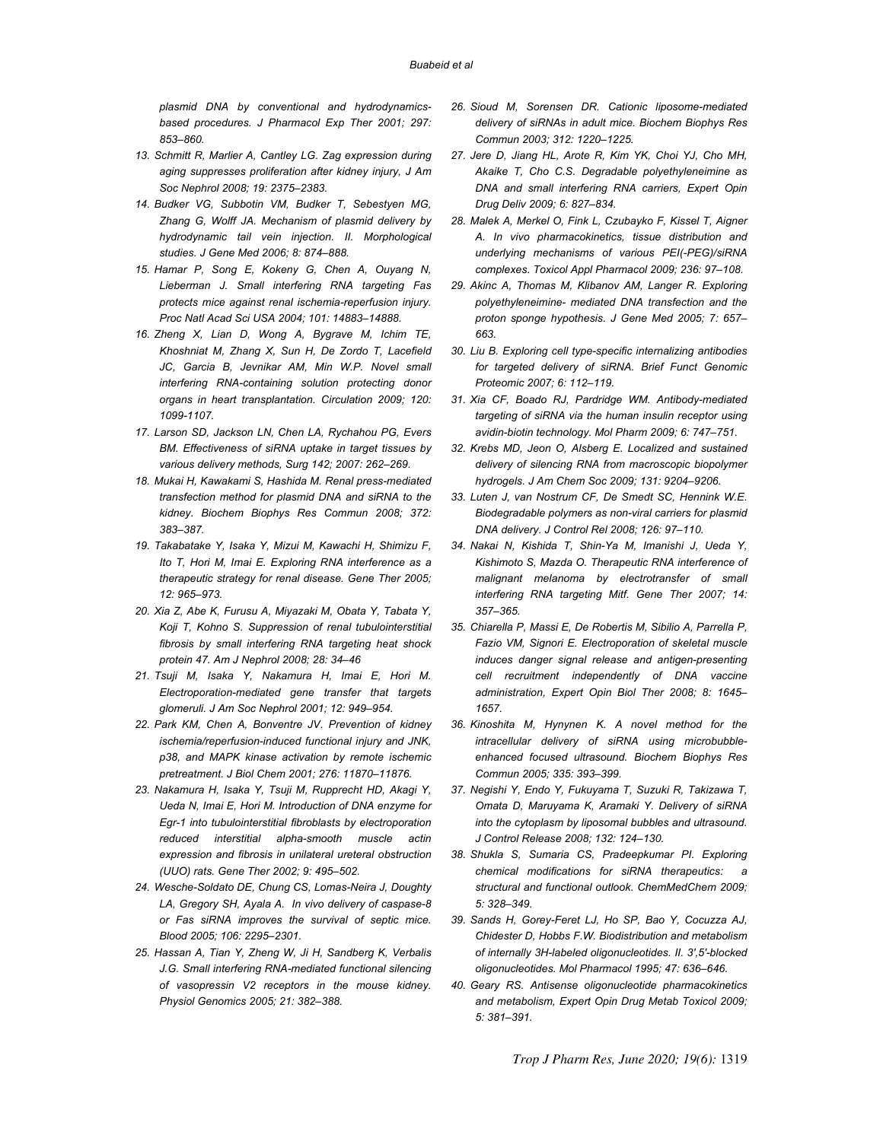*plasmid DNA by conventional and hydrodynamicsbased procedures. J Pharmacol Exp Ther 2001; 297: 853–860.* 

- *13. Schmitt R, Marlier A, Cantley LG. Zag expression during aging suppresses proliferation after kidney injury, J Am Soc Nephrol 2008; 19: 2375–2383.*
- *14. Budker VG, Subbotin VM, Budker T, Sebestyen MG, Zhang G, Wolff JA. Mechanism of plasmid delivery by hydrodynamic tail vein injection. II. Morphological studies. J Gene Med 2006; 8: 874–888.*
- *15. Hamar P, Song E, Kokeny G, Chen A, Ouyang N, Lieberman J. Small interfering RNA targeting Fas protects mice against renal ischemia-reperfusion injury. Proc Natl Acad Sci USA 2004; 101: 14883–14888.*
- *16. Zheng X, Lian D, Wong A, Bygrave M, Ichim TE, Khoshniat M, Zhang X, Sun H, De Zordo T, Lacefield*  JC, Garcia B, Jevnikar AM, Min W.P. Novel small *interfering RNA-containing solution protecting donor organs in heart transplantation. Circulation 2009; 120: 1099-1107.*
- *17. Larson SD, Jackson LN, Chen LA, Rychahou PG, Evers BM. Effectiveness of siRNA uptake in target tissues by various delivery methods, Surg 142; 2007: 262–269.*
- *18. Mukai H, Kawakami S, Hashida M. Renal press-mediated transfection method for plasmid DNA and siRNA to the kidney. Biochem Biophys Res Commun 2008; 372: 383–387.*
- *19. Takabatake Y, Isaka Y, Mizui M, Kawachi H, Shimizu F, Ito T, Hori M, Imai E. Exploring RNA interference as a therapeutic strategy for renal disease. Gene Ther 2005; 12: 965–973.*
- *20. Xia Z, Abe K, Furusu A, Miyazaki M, Obata Y, Tabata Y, Koji T, Kohno S. Suppression of renal tubulointerstitial fibrosis by small interfering RNA targeting heat shock protein 47. Am J Nephrol 2008; 28: 34–46*
- *21. Tsuji M, Isaka Y, Nakamura H, Imai E, Hori M. Electroporation-mediated gene transfer that targets glomeruli. J Am Soc Nephrol 2001; 12: 949–954.*
- *22. Park KM, Chen A, Bonventre JV. Prevention of kidney ischemia/reperfusion-induced functional injury and JNK, p38, and MAPK kinase activation by remote ischemic pretreatment. J Biol Chem 2001; 276: 11870–11876.*
- *23. Nakamura H, Isaka Y, Tsuji M, Rupprecht HD, Akagi Y, Ueda N, Imai E, Hori M. Introduction of DNA enzyme for Egr-1 into tubulointerstitial fibroblasts by electroporation reduced interstitial alpha-smooth muscle actin expression and fibrosis in unilateral ureteral obstruction (UUO) rats. Gene Ther 2002; 9: 495–502.*
- *24. Wesche-Soldato DE, Chung CS, Lomas-Neira J, Doughty LA, Gregory SH, Ayala A. In vivo delivery of caspase-8 or Fas siRNA improves the survival of septic mice. Blood 2005; 106: 2295–2301.*
- *25. Hassan A, Tian Y, Zheng W, Ji H, Sandberg K, Verbalis J.G. Small interfering RNA-mediated functional silencing of vasopressin V2 receptors in the mouse kidney. Physiol Genomics 2005; 21: 382–388.*
- *26. Sioud M, Sorensen DR. Cationic liposome-mediated delivery of siRNAs in adult mice. Biochem Biophys Res Commun 2003; 312: 1220–1225.*
- *27. Jere D, Jiang HL, Arote R, Kim YK, Choi YJ, Cho MH, Akaike T, Cho C.S. Degradable polyethyleneimine as DNA and small interfering RNA carriers, Expert Opin Drug Deliv 2009; 6: 827–834.*
- *28. Malek A, Merkel O, Fink L, Czubayko F, Kissel T, Aigner A. In vivo pharmacokinetics, tissue distribution and underlying mechanisms of various PEI(-PEG)/siRNA complexes. Toxicol Appl Pharmacol 2009; 236: 97–108.*
- *29. Akinc A, Thomas M, Klibanov AM, Langer R. Exploring polyethyleneimine- mediated DNA transfection and the proton sponge hypothesis. J Gene Med 2005; 7: 657– 663.*
- *30. Liu B. Exploring cell type-specific internalizing antibodies for targeted delivery of siRNA. Brief Funct Genomic Proteomic 2007; 6: 112–119.*
- *31. Xia CF, Boado RJ, Pardridge WM. Antibody-mediated targeting of siRNA via the human insulin receptor using avidin-biotin technology. Mol Pharm 2009; 6: 747–751.*
- *32. Krebs MD, Jeon O, Alsberg E. Localized and sustained delivery of silencing RNA from macroscopic biopolymer hydrogels. J Am Chem Soc 2009; 131: 9204–9206.*
- *33. Luten J, van Nostrum CF, De Smedt SC, Hennink W.E. Biodegradable polymers as non-viral carriers for plasmid DNA delivery. J Control Rel 2008; 126: 97–110.*
- *34. Nakai N, Kishida T, Shin-Ya M, Imanishi J, Ueda Y, Kishimoto S, Mazda O. Therapeutic RNA interference of malignant melanoma by electrotransfer of small interfering RNA targeting Mitf. Gene Ther 2007; 14: 357–365.*
- *35. Chiarella P, Massi E, De Robertis M, Sibilio A, Parrella P, Fazio VM, Signori E. Electroporation of skeletal muscle induces danger signal release and antigen-presenting cell recruitment independently of DNA vaccine administration, Expert Opin Biol Ther 2008; 8: 1645– 1657.*
- *36. Kinoshita M, Hynynen K. A novel method for the intracellular delivery of siRNA using microbubbleenhanced focused ultrasound. Biochem Biophys Res Commun 2005; 335: 393–399.*
- *37. Negishi Y, Endo Y, Fukuyama T, Suzuki R, Takizawa T, Omata D, Maruyama K, Aramaki Y. Delivery of siRNA into the cytoplasm by liposomal bubbles and ultrasound. J Control Release 2008; 132: 124–130.*
- *38. Shukla S, Sumaria CS, Pradeepkumar PI. Exploring chemical modifications for siRNA therapeutics: a structural and functional outlook. ChemMedChem 2009; 5: 328–349.*
- *39. Sands H, Gorey-Feret LJ, Ho SP, Bao Y, Cocuzza AJ, Chidester D, Hobbs F.W. Biodistribution and metabolism of internally 3H-labeled oligonucleotides. II. 3′,5′-blocked oligonucleotides. Mol Pharmacol 1995; 47: 636–646.*
- *40. Geary RS. Antisense oligonucleotide pharmacokinetics and metabolism, Expert Opin Drug Metab Toxicol 2009; 5: 381–391.*